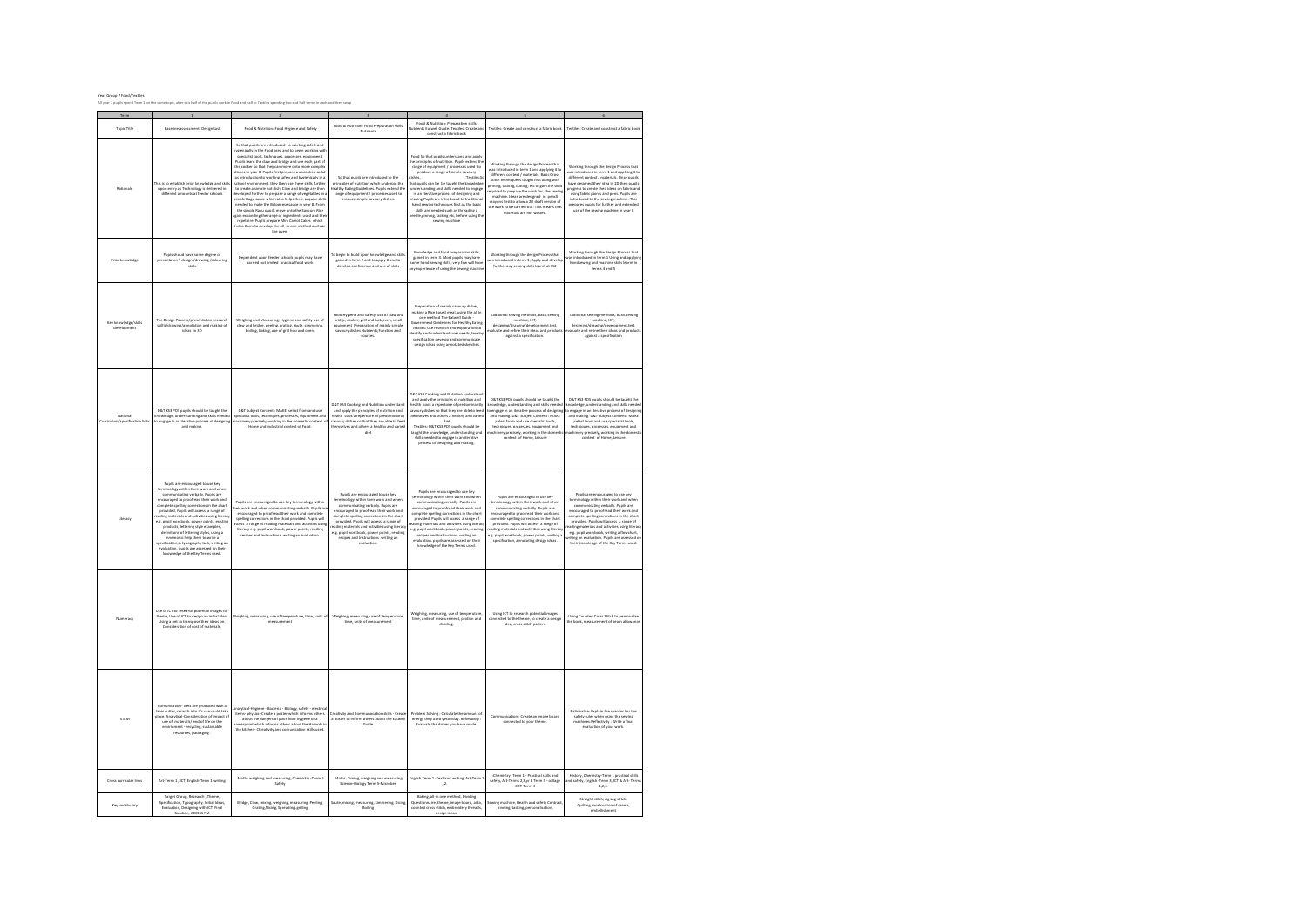| Rationale                                  | his is to establish prior knowledge and skill<br>upon entry as Technology is delivered in<br>different amounts at feeder schools                                                                                                                                                                                                                                                                                                                                                                                                                                                              | So that pupils are introduced to working safely and<br>lygienically in the Food area and to begin working with<br>specialist tools, techniques, processes, equipment,<br>Pupils learn the claw and bridge and use each part of<br>the cooler so that they can move onto more complex<br>dishes in year 8. Pupils first prepare a uncooked salad<br>as introduction to working safely and hygienically in a<br>school environment, they then use these skills furthe<br>to create a simple hot dish. Claw and hridee are then<br>veloped further to prepare a range of vegetables in<br>simple Ragu sauce which also helps them acquire skills<br>needed to make the Bolognese sauce in year 8. From<br>the simple Ragu pupils move onto the Sayoury Rice<br>gain expanding the range of ingredients used and the<br>repetoire. Pupils prepare Mini Carrot Cakes which<br>helps them to develop the all- in one method and use<br>the oven. | So that pupils are introduced to the<br>principles of nutrition which underpin the<br>Healthy Fating Guidelines Punils extend the<br>range of equipment / processes used to<br>produce simple sayoury dishes.                                                                                                                                                                                             | Food So that nuglis understand and anoty<br>the principles of nutrition. Pupils extend th<br>range of equipment / processes used tto<br>produce a range of simple savoury<br>liches.<br>Textiles So<br>hat pupils can be be taught the knowledge,<br>understanding and skills needed to engage<br>in an iterative process of designing and<br>making Pupils are introduced to traditional<br>hand sewing techniques first as the basic<br>skills are needed such as threading a<br>needle,pinning, tacking etc, before using the<br>sewing machine | Working through the design Process that<br>was introduced in term 1 and applying it to<br>different context / materials. Basic Cross<br>stitch technique is taught first along with<br>pinning, tacking, cutting, etc to gain the skills<br>equired to prepare the work for the sewing<br>machine, Ideas are designed in pencll<br>crayons first to allow a 2D draft version of<br>the work to be carried out. This means that<br>materials are not wasted | Working through the design Process that<br>vas introduced in term 1 and applying it to<br>different context / materials. Once pupils<br>have designed their idea in 2D then pupils<br>progress to create their ideas on fabric and<br>using fabric paints and pens. Pupils are<br>introduced to the sewing machine. This<br>prepares pupils for further and extended<br>use of the sewing machine in year 8                                      |
|--------------------------------------------|-----------------------------------------------------------------------------------------------------------------------------------------------------------------------------------------------------------------------------------------------------------------------------------------------------------------------------------------------------------------------------------------------------------------------------------------------------------------------------------------------------------------------------------------------------------------------------------------------|--------------------------------------------------------------------------------------------------------------------------------------------------------------------------------------------------------------------------------------------------------------------------------------------------------------------------------------------------------------------------------------------------------------------------------------------------------------------------------------------------------------------------------------------------------------------------------------------------------------------------------------------------------------------------------------------------------------------------------------------------------------------------------------------------------------------------------------------------------------------------------------------------------------------------------------------|-----------------------------------------------------------------------------------------------------------------------------------------------------------------------------------------------------------------------------------------------------------------------------------------------------------------------------------------------------------------------------------------------------------|----------------------------------------------------------------------------------------------------------------------------------------------------------------------------------------------------------------------------------------------------------------------------------------------------------------------------------------------------------------------------------------------------------------------------------------------------------------------------------------------------------------------------------------------------|------------------------------------------------------------------------------------------------------------------------------------------------------------------------------------------------------------------------------------------------------------------------------------------------------------------------------------------------------------------------------------------------------------------------------------------------------------|--------------------------------------------------------------------------------------------------------------------------------------------------------------------------------------------------------------------------------------------------------------------------------------------------------------------------------------------------------------------------------------------------------------------------------------------------|
| <b>Print Immulates</b>                     | Pupis shoud have some degree of<br>presentaton / design /drawing /colouring<br>cidite                                                                                                                                                                                                                                                                                                                                                                                                                                                                                                         | Dependent upon feeder schools pupils may have<br>carried out limited practical food wor                                                                                                                                                                                                                                                                                                                                                                                                                                                                                                                                                                                                                                                                                                                                                                                                                                                    | To begin to build upon knowledge and skills<br>gained in term 2 and to apply these to<br>develop confidemce and use of skills.                                                                                                                                                                                                                                                                            | towledge and food preparation skills<br>gained in term 3. Most pupils may have<br>ome hand sewing skills, very few will have<br>any experience of using the Sewing machine                                                                                                                                                                                                                                                                                                                                                                         | Working through the design Process that<br>as introduced in term 1, Apply and develop<br>further any sewing skills learnt at KS2                                                                                                                                                                                                                                                                                                                           | Working through the design Process that<br>vas introduced in term 1 Using and applyin<br>handsewing and machine skills learnt in<br>terms 4 and 5                                                                                                                                                                                                                                                                                                |
| Key knowledge/skills<br>development        | The Design Process/presentation research<br>skills/drawing/annotation and making of<br>ideas in 3D                                                                                                                                                                                                                                                                                                                                                                                                                                                                                            | Weighing and Measuring, Hygiene and safety use of<br>claw and bridge, peeling, grating, saute, simmering,<br>boiling, baking, use of grill hob and oven.                                                                                                                                                                                                                                                                                                                                                                                                                                                                                                                                                                                                                                                                                                                                                                                   | Food Hygiene and Safety, use of claw and<br>bridge, cooker, grill and hob, oven, small<br>quipment Preparation of mainly simple<br>savoury dishes Nutrients; Function and<br>sources                                                                                                                                                                                                                      | Preparation of mainly savoury dishes,<br>making a Rice based meal, using the all in<br>one method The Eatwell Guide -<br>Government Guidelines for Healthy Fating<br>Textiles: use research and exploration to<br>dentify and understand user needs develo-<br>specification develop and communicate<br>design ideas using annotated sketches                                                                                                                                                                                                      | Taditional sewing methods, basic sewing<br>machine, ICT.<br>designing/drawing/development.test,<br>waluate and refine their ideas and products<br>against a specification                                                                                                                                                                                                                                                                                  | Taditional sewing methods, basic sewing<br>machine, ICT.<br>designing/drawing/development.test,<br>waluate and refine their ideas and product<br>against a specification                                                                                                                                                                                                                                                                         |
| National<br>Curriculum/specification links | D&T KS3 POS pupils should be taught the<br>knowledge, understanding and skills needed<br>to engage in an iterative process of designing<br>and making                                                                                                                                                                                                                                                                                                                                                                                                                                         | D&T Subject Content : MAKE ;select from and use<br>specialist tools, techniques, processes, equipment and<br>nachinery precisely, working in the domestic context o<br>Home and industrial context of Food                                                                                                                                                                                                                                                                                                                                                                                                                                                                                                                                                                                                                                                                                                                                 | D&T KS3 Conking and Nutrition understan<br>and apply the principles of nutrition and<br>health cook a repertoire of predominantl<br>lavoury dishes so that they are able to feed<br>thomsplues and others a healthy and varied<br>diet                                                                                                                                                                    | D&T KS3 Cooking and Nutrition understand<br>and apply the principles of nutrition and<br>health cook a renertoire of nredominantly<br>avoury dishes so that they are able to feed<br>themselves and others a healthy and varied<br>diet<br>Textile: D&T KS3 POS numis should be<br>taught the knowledge, understanding and<br>skills needed to engage in an iterative<br>process of designing and making.                                                                                                                                          | D&T KS3 POS pupils should be taught the<br>nowledge, understanding and skills needed<br>to engage in an iterative process of designing<br>and making. D&T Subject Content: MAKE<br>;select from and use specialist tools,<br>techniques processes equipment and<br>nachinery precisely, working in the domesti<br>context of Home Leisure                                                                                                                  | D&T KS3 POS pupils should be taught the<br>owledge, understanding and skills neede<br>ongage in an iterative process of designin<br>and making. D&T Subject Content : MAKE<br>; select from and use specialist tools,<br>techniques netrosses equipment and<br>nachinery precisely, working in the domestic<br>context of Home, Leisure                                                                                                          |
| Literacy                                   | Pupils are encouraged to use key<br>terminology within their work and when<br>communicating verbally. Pupils are<br>encouraged to proofread their work and<br>spelling corrections in the chart<br>provided. Pupils will access a range of<br>ading materials and activities using literac<br>e.g. pupil workbook, power points, existing<br>products, lettering style examples,<br>definitions of lettering styles, using a<br>mnemonic help them to write a<br>specification, a typography task, writing an<br>evaluation. pupils are assessed on their<br>knowledge of the Key Terms used. | Pupils are encouraged to use key terminology within<br>heir work and when communicating verbally. Pupils an<br>encouraged to proofread their work and complete<br>spelling corrections in the chart provided. Pupils will<br>ccess a range of reading materials and activities using<br>literacy e.g. pupil workbook, power points, reading<br>recines and instructions writing an evaluation                                                                                                                                                                                                                                                                                                                                                                                                                                                                                                                                              | Pupils are encouraged to use key<br>terminology within their work and when<br>icating verbally. Pupils are<br>commu<br>encouraged to proofread their work and<br>complete spelling corrections in the chart<br>provided. Pupils will access a range of<br>ading materials and activities using literac<br>e.g. pupil workbook, power points, reading<br>recipes and Instructions writing an<br>evaluation | Pupils are encouraged to use key<br>terminology within their work and when<br>communicating verbally. Pupils are<br>encouraged to proofread their work and<br>complete spelling corrections in the chart<br>provided. Pupils will access a range of<br>ading materials and activities using literal<br>e.g. pupil workbook, power points, reading<br>recipes and Instructions writing an<br>evaluation, pupils are assessed on their<br>knowledge of the Key Terms used.                                                                           | Pupils are encouraged to use key<br>terminology within their work and when<br>communicating verbally. Pupils are<br>encouraged to needcaad their work and<br>complete spelling corrections in the chart<br>provided. Pupils will access a range of<br>ading materials and activities using literac<br>e.g. pupil workbook, power points, writing a<br>specification, annotating design ideas.                                                              | Pupils are encouraged to use key<br>terminology within their work and when<br>.<br>Icating verbally. Pupils are<br>commu<br>encouraged to proofread their work and<br>complete spelling corrections in the chart<br>provided. Pupils will access a range of<br>ading materials and activities using literac<br>e.g. pupil workbook, writing a flowchart.<br>iting an evaluation. Pupils are assessed o<br>their knowledge of the Key Terms used. |
| Numeracy                                   | Use of ICT to research potential images for<br>theme, Use of ICT to design an initial idea.<br>Using a net to transpose their ideas on<br>Consideration of cost of materials.                                                                                                                                                                                                                                                                                                                                                                                                                 | Weighing, measuring, use of temperuture, time, units of<br>measurement                                                                                                                                                                                                                                                                                                                                                                                                                                                                                                                                                                                                                                                                                                                                                                                                                                                                     | Weighing, measuring, use of temperuture<br>time units of measurement                                                                                                                                                                                                                                                                                                                                      | Weighing, measuring, use of temperature<br>time, units of measurement, protion and<br>dividing.                                                                                                                                                                                                                                                                                                                                                                                                                                                    | Using ICT to research potential image<br>connected to the theme, to create a design<br>idea, cross stitch pattern                                                                                                                                                                                                                                                                                                                                          | Using Counted Cross Stitch to personalise<br>the hook measurement of seam allowance                                                                                                                                                                                                                                                                                                                                                              |
| <b>STEM</b>                                | Comunication, Nots are produced with a<br>laser cutter, resarch into it's use could take<br>place. Analytical-Consideration of impact of<br>use of materails/ end of life on the<br>envirinment - recycling, sustainable<br>resources, packaging                                                                                                                                                                                                                                                                                                                                              | nalytical-Hygiene - Bacteria - Biology, safety - electric<br>items- physics- Create a poster which informs others<br>about the dangers of poor food hygiene or a<br>owerpoint which informs others about the Hazards i<br>the kitchen- Ctreativity and comunication skills used.                                                                                                                                                                                                                                                                                                                                                                                                                                                                                                                                                                                                                                                           | Creativity and Communocation skills - Create<br>a poster to inform others about the Eatwell<br>Guide                                                                                                                                                                                                                                                                                                      | Problem Solving : Calculate the amount of<br>energy they used yesterday. Reflectivity<br>Evaluate the dishes you have made.                                                                                                                                                                                                                                                                                                                                                                                                                        | Communication : Create an image board<br>connected to your theme                                                                                                                                                                                                                                                                                                                                                                                           | nalise: Explain the reasons for the<br>safety rules when using the sewing<br>machines.Reflectivity : Write a final<br>evaluation of your work.                                                                                                                                                                                                                                                                                                   |
| Cross curricular links                     | Art-Term 1 . ICT. English-Term 1-writing                                                                                                                                                                                                                                                                                                                                                                                                                                                                                                                                                      | Maths weighing and measuring, Chemistry -Term 5<br>Safety                                                                                                                                                                                                                                                                                                                                                                                                                                                                                                                                                                                                                                                                                                                                                                                                                                                                                  | Maths Timing, weighing and measuring<br>Science-Biology Term S-Microbes                                                                                                                                                                                                                                                                                                                                   | English Term 1 - Text and writing, Art-Term 1<br>, 2.                                                                                                                                                                                                                                                                                                                                                                                                                                                                                              | Chemistry, Term 1 . Practical skills and<br>safety, Art-Terms 2,3,yr 8 Term 5 - collage<br>CDT-Term 3                                                                                                                                                                                                                                                                                                                                                      | History, Chemistry-Term 1 practical skills<br>and safety, English -Term 3, ICT & Art- Terms<br>1.2.3                                                                                                                                                                                                                                                                                                                                             |

Saute, mixing, measuring, Simmering, Dicing, Boiling

Baking, all-in one method, Dividing Questionnaire, theme, image board, aida, counted cross stitch, embroidery threads, design ideas.

Sewing machine, Health and safety Contract, pinning, tacking, personalisation,

Straight stitch, zig zag stitch, Quilting,construction of seams, embellishment

Term 1 2 2 5 4 5 6

Food & Nutrition: Preparation skills Nutrients Eatwell Guide. Textiles: Create and construct a fabric book

Textiles: Create and construct a fabric book Textiles: Create and construct a fabric book

ood & Nutrition: Food Pr<br>Nutrients

Year Group 7 Food/Textiles All year 7 pupils spend Term 1 on the same topic, after this half of the pupils work in Food and half in Textiles spending two and half terms in each and then swap

Key vocabulary

Target Group, Research , Theme, Specification, Typography, Initial Ideas, Evaluation, Designing with ICT, Final Solution, ACCESS FM

Bridge, Claw, mixing, weighing, measuring, Peeling, Grating,Slicing, Spreading, grilling

Topic Title Baseline assessment- Design task Food & Nutrition: Food Hygiene and Safety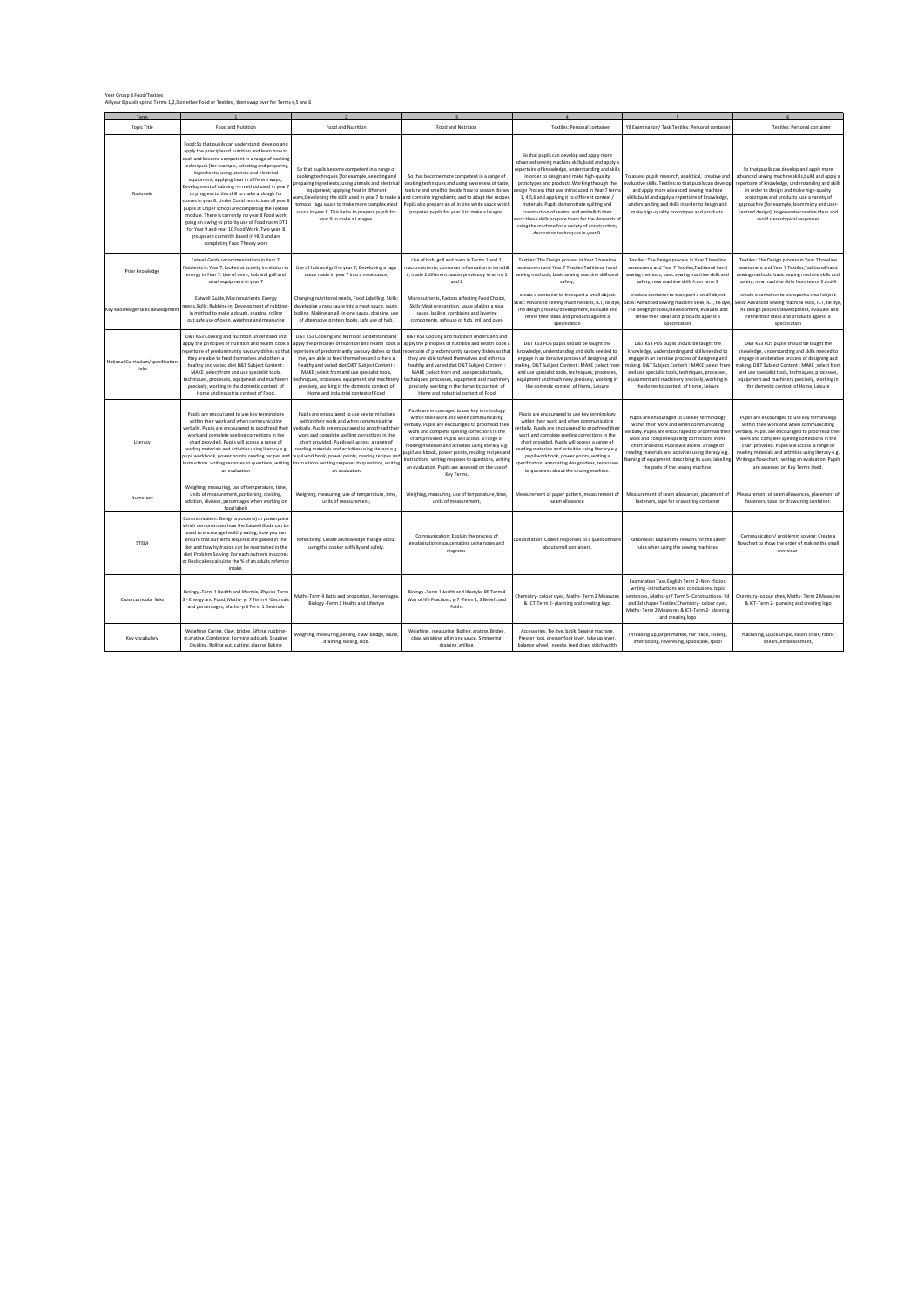Year Group 8 Food/Textiles All year 8 pupils spend Terms 1,2,3 on ether Food or Textiles , then swap over for Terms 4,5 and 6

| Term                                       |                                                                                                                                                                                                                                                                                                                                                                                                                                                                                                                                                                                                                                                                                                                                                               |                                                                                                                                                                                                                                                                                                                                                                                                                                                     |                                                                                                                                                                                                                                                                                                                                                                                                                                                                                     |                                                                                                                                                                                                                                                                                                                                                                                                                                                                                                                                                                                               |                                                                                                                                                                                                                                                                                                                                                                                                     |                                                                                                                                                                                                                                                                                                                                                                                                    |
|--------------------------------------------|---------------------------------------------------------------------------------------------------------------------------------------------------------------------------------------------------------------------------------------------------------------------------------------------------------------------------------------------------------------------------------------------------------------------------------------------------------------------------------------------------------------------------------------------------------------------------------------------------------------------------------------------------------------------------------------------------------------------------------------------------------------|-----------------------------------------------------------------------------------------------------------------------------------------------------------------------------------------------------------------------------------------------------------------------------------------------------------------------------------------------------------------------------------------------------------------------------------------------------|-------------------------------------------------------------------------------------------------------------------------------------------------------------------------------------------------------------------------------------------------------------------------------------------------------------------------------------------------------------------------------------------------------------------------------------------------------------------------------------|-----------------------------------------------------------------------------------------------------------------------------------------------------------------------------------------------------------------------------------------------------------------------------------------------------------------------------------------------------------------------------------------------------------------------------------------------------------------------------------------------------------------------------------------------------------------------------------------------|-----------------------------------------------------------------------------------------------------------------------------------------------------------------------------------------------------------------------------------------------------------------------------------------------------------------------------------------------------------------------------------------------------|----------------------------------------------------------------------------------------------------------------------------------------------------------------------------------------------------------------------------------------------------------------------------------------------------------------------------------------------------------------------------------------------------|
| <b>Topic Title</b>                         | Food and Nutrition                                                                                                                                                                                                                                                                                                                                                                                                                                                                                                                                                                                                                                                                                                                                            | Food and Nutrition                                                                                                                                                                                                                                                                                                                                                                                                                                  | Food and Nutrition                                                                                                                                                                                                                                                                                                                                                                                                                                                                  | Textiles: Personal container                                                                                                                                                                                                                                                                                                                                                                                                                                                                                                                                                                  | Y8 Examination/ Task Textiles: Personal container                                                                                                                                                                                                                                                                                                                                                   | Textiles: Personal container                                                                                                                                                                                                                                                                                                                                                                       |
| Rationale                                  | Food:So that pupils can understand, develop and<br>apply the principles of nutrition and learn how to<br>cook and become competent in a range of cooking<br>techniques [for example, selecting and preparing<br>ingredients: using utensils and electrical<br>equipment; applying heat in different ways;.<br>Development of rubbing -in method used in year<br>to progress to this skill to make a dough for<br>scones in year 8. Under Covid restrictions all year 8<br>pupils at Upper school are completing the Textiles<br>module. There is currently no year 8 Food work<br>going on owing to priority use of Food room DT1<br>for Year 9 and year 10 Food Work. Two year 8<br>groups are currently based in HU3 and are<br>completing Food Theory work | So that pupils become competent in a range of<br>cooking techniques [for example, selecting and<br>preparing ingredients; using utensils and electrical<br>equipment; applying heat in different<br>vays;Developing the skills used in year 7 to make a<br>tomato ragu sauce to make more complex meat<br>sauce in year 8. This helps to prepare pupils for<br>year 9 to make a Lasagne.                                                            | So that become more competent in a range of<br>cooking techniques and using awareness of taste,<br>texture and smell to decide how to season dishes<br>nd combine ingredients; and to adapt the recipes<br>upils also prepare an all in one white sauce which<br>prepares pupils for year 9 to make a lasagne.                                                                                                                                                                      | So that pupils can develop and apply more<br>advanced sewing machine skills, build and apply a<br>epertoire of knowledge, understanding and skills<br>in order to design and make high-quality<br>prototypes and products. Working through the<br>esign Process that was introduced in Year 7 term<br>1, 4,5,6 and applying it to different context /<br>materials. Pupils demonstrate quilting and<br>construction of seams and embellish their<br>work: these skills prepare them for the demands o<br>using the machine for a variety of construction/<br>decoration techniques in year 9. | To assess pupils research, analytical, creative and<br>evaluative skills. Textiles:so that pupils can develop<br>and apply more advanced sewing machine<br>skills, build and apply a repertoire of knowledge,<br>understanding and skills in order to design and<br>make high-quality prototypes and products.                                                                                      | So that pupils can develop and apply more<br>advanced sewing machine skills, build and apply a<br>repertoire of knowledge, understanding and skills<br>in order to design and make high-quality<br>prototypes and products .use a variety of<br>approaches [for example, biomimicry and user-<br>centred design], to generate creative ideas and<br>avoid stereotypical responses                  |
| Prior knowledge                            | Eatwell Guide recommendations in Year 7.<br>Nutrients in Year 7, looked at activity in relation to<br>energy in Year 7. Use of oven, hob and grill and<br>small equipment in year 7                                                                                                                                                                                                                                                                                                                                                                                                                                                                                                                                                                           | Use of hob and grill in year 7. Developing a ragu<br>sauce made in year 7 into a meat sauce,                                                                                                                                                                                                                                                                                                                                                        | Use of hob, grill and oven in Terms 1 and 2,<br>nacronutrients, consumer infromation in term18<br>2, made 2 different sauces previously in terms 1<br>and 2                                                                                                                                                                                                                                                                                                                         | Textiles: The Design process in Year 7 baseline<br>assessment and Year 7 Textiles. Taditional hand<br>sewing methods, basic sewing machine skills and<br>safety                                                                                                                                                                                                                                                                                                                                                                                                                               | Textiles: The Design process in Year 7 baseline<br>assessment and Year 7 Textiles. Taditional hand<br>sewing methods, basic sewing machine skills and<br>safety, new machine skills from term 3                                                                                                                                                                                                     | Textiles: The Design process in Year 7 baseline<br>assessment and Year 7 Textiles. Taditional hand<br>sewing methods, basic sewing machine skills and<br>safety, new machine skills from terms 3 and 4                                                                                                                                                                                             |
| Key knowledge/skills developmen            | Eatwell Guide, Macronutrients, Energy<br>eeds, Skills: Rubbing-in, Development of rubbing<br>in method to make a dough, shaping, rolling<br>out, safe use of oven, weighing and measuring                                                                                                                                                                                                                                                                                                                                                                                                                                                                                                                                                                     | Changing nutritional needs, Food Labelling. Skills:<br>developing a ragu sauce into a meat sauce, saute,<br>boiling, Making an all -in-one sauce, draining, use<br>of alternative protein foods, safe use of hob.                                                                                                                                                                                                                                   | Micronutrients, Factors affecting Food Choice,<br>Skills: Meat preparation, saute Making a roux<br>sauce, boiling, combining and layering<br>components, safe use of hob, grill and oven                                                                                                                                                                                                                                                                                            | create a container to transport a small object.<br>kills: Advanced sewing machine skills, ICT, tie dye,<br>The design process/development, evaluate and<br>refine their ideas and products against a<br>specification                                                                                                                                                                                                                                                                                                                                                                         | create a container to transport a small object.<br>ikills: Advanced sewing machine skills, ICT, tie dye<br>The design process/development, evaluate and<br>refine their ideas and products against a<br>specification                                                                                                                                                                               | create a container to transport a small object.<br>kills: Advanced sewing machine skills, ICT, tie dye<br>The design process/development, evaluate and<br>refine their ideas and products against a<br>specification                                                                                                                                                                               |
| National Curriculum/specification<br>links | D&T KS3 Cooking and Nutrition understand and<br>apply the principles of nutrition and health cook a<br>epertoire of predominantly savoury dishes so that<br>they are able to feed themselves and others a<br>healthy and varied diet D&T Subject Content:<br>MAKE :select from and use specialist tools<br>echniques, processes, equipment and machinery<br>precisely, working in the domestic context of<br>Home and industrial context of Food.                                                                                                                                                                                                                                                                                                             | D&T KS3 Cooking and Nutrition understand and<br>spply the principles of nutrition and health cook a<br>epertoire of predominantly savoury dishes so that<br>they are able to feed themselves and others a<br>healthy and varied diet D&T Subject Content :<br>MAKE :select from and use specialist tools.<br>techniques, processes, equipment and machinery<br>precisely, working in the domestic context of<br>Home and industrial context of Food | D&T KS3 Cooking and Nutrition understand and<br>apply the principles of nutrition and health cook<br>epertoire of predominantly savoury dishes so that<br>they are able to feed themselves and others a<br>healthy and varied diet D&T Subject Content :<br>MAKE: select from and use specialist tools<br>techniques, processes, equipment and machinery<br>precisely, working in the domestic context of<br>Home and industrial context of Food                                    | D&T KS3 POS pupils should be taught the<br>knowledge, understanding and skills needed to<br>engage in an iterative process of designing and<br>making. D&T Subject Content : MAKE ;select from<br>and use specialist tools, techniques, processes,<br>equipment and machinery precisely, working in<br>the domestic context of Home, Leisure                                                                                                                                                                                                                                                  | D&T KS3 POS pupils should be taught the<br>knowledge, understanding and skills needed to<br>engage in an iterative process of designing and<br>making. D&T Subject Content : MAKE ;select from<br>and use specialist tools, techniques, processes,<br>equipment and machinery precisely, working in<br>the domestic context of Home, Leisure                                                        | D&T KS3 POS pupils should be taught the<br>knowledge, understanding and skills needed to<br>engage in an iterative process of designing and<br>making, D&T Subject Content : MAKE :select from<br>and use specialist tools, techniques, processes,<br>equipment and machinery precisely, working in<br>the domestic context of Home, Leisure                                                       |
| Literacy                                   | Pupils are encouraged to use key terminology<br>within their work and when communicating<br>erbally. Pupils are encouraged to proofread their<br>work and complete spelling corrections in the<br>chart provided. Pupils will access a range of<br>reading materials and activities using literacy e.g.<br>upil workbook, power points, reading recipes and<br>Instructions writing resposes to questions, writing<br>an evaluation                                                                                                                                                                                                                                                                                                                           | Pupils are encouraged to use key terminology<br>within their work and when communicating<br>erbally. Pupils are encouraged to proofread their<br>work and complete spelling corrections in the<br>chart provided. Pupils will access a range of<br>reading materials and activities using literacy e.g.<br>upil workbook, power points, reading recipes and<br>Instructions writing resposes to questions, writing<br>an evaluation                 | Pupils are encouraged to use key terminology<br>within their work and when communicating<br>erbally. Pupils are encouraged to proofread their<br>work and complete spelling corrections in the<br>chart provided. Pupils will access a range of<br>reading materials and activities using literacy e.g.<br>upil workbook, power points, reading recipes and<br>nstructions writing resposes to questions, writing<br>an evaluation. Pupils are assessed on the use of<br>Key Terms. | Pupils are encouraged to use key terminology<br>within their work and when communicating<br>erbally. Pupils are encouraged to proofread their<br>work and complete spelling corrections in the<br>chart provided. Pupils will access a range of<br>reading materials and activities using literacy e.g.<br>pupil workbook, power points, writing a<br>specification, annotating design ideas, responses<br>to questions about the sewing machine.                                                                                                                                             | Pupils are encouraged to use key terminology<br>within their work and when communicating<br>verbally. Pupils are encouraged to proofread their<br>work and complete spelling corrections in the<br>chart provided. Pupils will access a range of<br>reading materials and activities using literacy e.g.<br>Vaming of equipment, describing its uses, labelling<br>the parts of the sewing machine. | Pupils are encouraged to use key terminology<br>within their work and when communicating<br>verbally. Pupils are encouraged to proofread their<br>work and complete spelling corrections in the<br>chart provided. Pupils will access a range of<br>reading materials and activities using literacy e.g.<br>Writing a flow chart, writing an evaluation. Pupils<br>are assessed on Key Terms Used. |
| Numeracy                                   | Weighing, measuring, use of temperature, time,<br>units of measurement, portioning, dividing,<br>addition, division, percentages when working on<br>food labels                                                                                                                                                                                                                                                                                                                                                                                                                                                                                                                                                                                               | Weighing, measuring, use of temperature, time,<br>units of measurement,                                                                                                                                                                                                                                                                                                                                                                             | Weighing, measuring, use of temperature, time,<br>units of measurement                                                                                                                                                                                                                                                                                                                                                                                                              | Measurement of paper pattern, measurement of<br>seam allowance                                                                                                                                                                                                                                                                                                                                                                                                                                                                                                                                | Measurement of seam allowances, placement of<br>fasteners, tape for drawstring container                                                                                                                                                                                                                                                                                                            | Measurement of seam allowances, placement of<br>fasteners, tape for drawstring container.                                                                                                                                                                                                                                                                                                          |
| STEM                                       | Communication: Design a poster(s) or powerpoint<br>which demonstrates how the Eatwell Gude can be<br>used to encourage healthy eating, how you can<br>ensure that nutrients required are gained in the<br>diet and how hydration can be maintained in the<br>diet Problem Solving: For each nutrient in scones<br>or Rock cakes calculate the % of an adults refernce<br>intake                                                                                                                                                                                                                                                                                                                                                                               | Reflectivity: Create a Knowledge triangle about<br>using the cooker skilfully and safely.                                                                                                                                                                                                                                                                                                                                                           | Communication: Explain the process of<br>gelatinisationin saucemaking using notes and<br>diagrams.                                                                                                                                                                                                                                                                                                                                                                                  | ollaboration: Collect responses to a questionnaire<br>about small containers.                                                                                                                                                                                                                                                                                                                                                                                                                                                                                                                 | Rationalise: Explain the reasons for the safety<br>rules when using the sewing machines.                                                                                                                                                                                                                                                                                                            | Communication/ problemm solving: Create a<br>flowchart to show the order of making the small<br>container                                                                                                                                                                                                                                                                                          |
| Cross curricular links                     | Biology -Term 1 Health and lifestyle, Physics Term<br>3 - Energy and Food, Maths- yr 7 Term 4 -Decimals<br>and percentages, Maths -yr8 Term 1 Decimals                                                                                                                                                                                                                                                                                                                                                                                                                                                                                                                                                                                                        | Maths-Term 4 Ratio and proportion, Percentages<br>Biology - Term 1 Health and Lifestyle                                                                                                                                                                                                                                                                                                                                                             | Biology -Term 1Health and lifestyle, RE Term 4<br>Way of life Practices, yr7 -Term 1, 3 Beliefs and<br>Faiths                                                                                                                                                                                                                                                                                                                                                                       | Chemistry- colour dyes, Maths- Term 2 Measures<br>& ICT-Term 2- planning and creating logo                                                                                                                                                                                                                                                                                                                                                                                                                                                                                                    | Examination Task English Term 2 -Non -fiction<br>writing-introductions and conclusions, topic<br>sentences, Maths -yr7 Term 5- Constructions- 2d<br>and 3d shapes Textiles:Chemistry- colour dyes,<br>Maths-Term 2 Measures & ICT-Term 2- planning<br>and creating logo                                                                                                                             | Chemistry- colour dyes, Maths- Term 2 Measures<br>& ICT-Term 2- planning and creating logo                                                                                                                                                                                                                                                                                                         |
| Key vocabulary                             | Weighing, Coring, Claw, bridge, Sifting, rubbing-<br>in, grating, Combining, Forming a dough, Shaping,<br>Dividing, Rolling out, cutting, glazing, Baking                                                                                                                                                                                                                                                                                                                                                                                                                                                                                                                                                                                                     | Weighing, measuring, peeling, claw, bridge, saute,<br>draining, boiling, hob.                                                                                                                                                                                                                                                                                                                                                                       | Weighing, measuring, Boiling, grating, Bridge,<br>claw, whisking, all in one sauce, Simmering,<br>draining, grilling.                                                                                                                                                                                                                                                                                                                                                               | Accessories, Tie dye, batik, Sewing machine,<br>Presser foot, presser foot lever, take up lever,<br>balance wheel, needle, feed dogs, stitch width                                                                                                                                                                                                                                                                                                                                                                                                                                            | Threading up, target market, fair trade, Fishing,<br>interlocking, reveresing, spool case, spool                                                                                                                                                                                                                                                                                                    | machining, Quick un pic, tailors chalk, fabric<br>shears emhellishment                                                                                                                                                                                                                                                                                                                             |